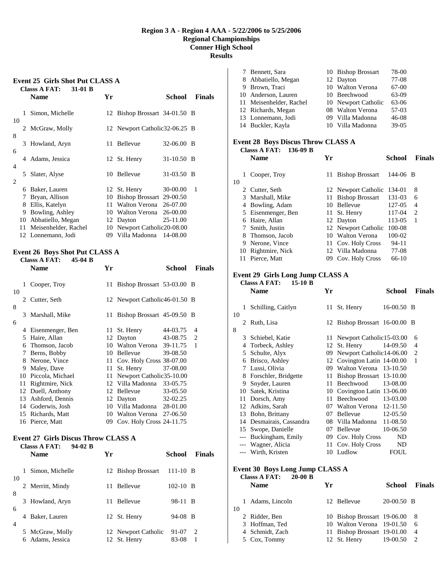### **Region 3 A - Region 4 AAA - 5/22/2006 to 5/25/2006 Regional Championships Conner High School Results**

# **Event 25 Girls Shot Put CLASS A Classs A FAT: 31-01 B**

|        |                        | <b>Name</b>                                                                               | Yr       |                                                                                                     | School                           | <b>Finals</b> |
|--------|------------------------|-------------------------------------------------------------------------------------------|----------|-----------------------------------------------------------------------------------------------------|----------------------------------|---------------|
| 10     | 1                      | Simon, Michelle                                                                           |          | 12 Bishop Brossart 34-01.50 B                                                                       |                                  |               |
|        |                        | 2 McGraw, Molly                                                                           |          | 12 Newport Catholic 32-06.25 B                                                                      |                                  |               |
| 8      | 3                      | Howland, Aryn                                                                             | 11       | Bellevue                                                                                            | $32-06.00$ B                     |               |
| 6      | 4                      | Adams, Jessica                                                                            |          | 12 St. Henry                                                                                        | 31-10.50 B                       |               |
| 4<br>2 | 5                      | Slater, Alyse                                                                             |          | 10 Bellevue                                                                                         | 31-03.50 B                       |               |
|        | 6<br>7<br>8<br>9<br>10 | Baker, Lauren<br>Bryan, Allison<br>Ellis, Katelyn<br>Bowling, Ashley<br>Abbatiello, Megan | 10<br>11 | 12 St. Henry<br>Bishop Brossart 29-00.50<br>Walton Verona<br>10 Walton Verona 26-00.00<br>12 Dayton | 30-00.00<br>26-07.00<br>25-11.00 | 1             |
|        | 11<br>12               | Meisenhelder, Rachel<br>Lonnemann, Jodi                                                   | 09       | 10 Newport Catholic 20-08.00<br>Villa Madonna                                                       | 14-08.00                         |               |

#### **Event 26 Boys Shot Put CLASS A Classs A FAT: 45-04 B**

|        |    | UNUUU IL LILLI<br><b>Name</b> | Yr  | School<br><b>Finals</b>        |
|--------|----|-------------------------------|-----|--------------------------------|
| 10     | 1  | Cooper, Troy                  |     | 11 Bishop Brossart 53-03.00 B  |
|        | 2  | Cutter, Seth                  |     | 12 Newport Catholic46-01.50 B  |
| 8<br>6 | 3  | Marshall, Mike                | 11  | Bishop Brossart 45-09.50 B     |
|        | 4  | Eisenmenger, Ben              | 11  | 44-03.75<br>St. Henry<br>4     |
|        | 5  | Haire, Allan                  | 12  | Dayton<br>43-08.75<br>2        |
|        | 6  | Thomson, Jacob                | 10  | 39-11.75<br>Walton Verona<br>1 |
|        | 7  | Berns, Bobby                  | 10  | Bellevue<br>39-08.50           |
|        | 8  | Nerone, Vince                 | 11  | Cov. Holy Cross 38-07.00       |
|        | 9  | Maley, Dave                   | 11  | St. Henry<br>37-08.00          |
|        | 10 | Piccola, Michael              | 11  | Newport Catholic35-10.00       |
|        | 11 | Rightmire, Nick               |     | 12 Villa Madonna<br>33-05.75   |
|        | 12 | Duell, Anthony                | 12  | Bellevue<br>33-05.50           |
|        | 13 | Ashford, Dennis               | 12  | 32-02.25<br>Dayton             |
|        | 14 | Goderwis, Josh                | 10  | Villa Madonna 28-01.00         |
|        | 15 | Richards, Matt                | 10  | Walton Verona 27-06.50         |
|        | 16 | Pierce, Matt                  | 09. | Cov. Holy Cross 24-11.75       |

#### **Event 27 Girls Discus Throw CLASS A Classs A FAT: 94-02 B**

|         |   | <b>Name</b>                       | Yr |                                     | School         | <b>Finals</b>                    |
|---------|---|-----------------------------------|----|-------------------------------------|----------------|----------------------------------|
|         | 1 | Simon, Michelle                   |    | 12 Bishop Brossart                  | $111-10$ B     |                                  |
| 10<br>8 |   | 2 Merritt, Mindy                  | 11 | Bellevue                            | $102-10$ B     |                                  |
| 6       |   | 3 Howland, Aryn                   | 11 | <b>Bellevue</b>                     | 98-11 B        |                                  |
| 4       | 4 | Baker, Lauren                     |    | 12 St. Henry                        | 94-08 B        |                                  |
|         | 6 | 5 McGraw, Molly<br>Adams, Jessica |    | 12 Newport Catholic<br>12 St. Henry | 91-07<br>83-08 | $\mathcal{D}_{\mathcal{L}}$<br>1 |

| 7 Bennett, Sara         | 10 Bishop Brossart  | 78-00     |
|-------------------------|---------------------|-----------|
| 8 Abbatiello, Megan     | 12 Dayton           | 77-08     |
| 9 Brown, Traci          | 10 Walton Verona    | 67-00     |
| 10 Anderson, Lauren     | 10 Beechwood        | 63-09     |
| 11 Meisenhelder, Rachel | 10 Newport Catholic | 63-06     |
| 12 Richards, Megan      | 08 Walton Verona    | 57-03     |
| 13 Lonnemann, Jodi      | 09 Villa Madonna    | $46 - 08$ |
| 14 Buckler, Kayla       | 10 Villa Madonna    | $39-05$   |

### **Event 28 Boys Discus Throw CLASS A Classs A FAT: 136-09 B**

|    |    | <b>Name</b>      | Yг |                        | School    | <b>Finals</b>               |
|----|----|------------------|----|------------------------|-----------|-----------------------------|
| 10 |    | Cooper, Troy     | 11 | <b>Bishop Brossart</b> | 144-06 B  |                             |
|    |    | 2 Cutter, Seth   |    | 12 Newport Catholic    | 134-01    | 8                           |
|    | 3. | Marshall, Mike   | 11 | <b>Bishop Brossart</b> | 131-03    | 6                           |
|    | 4  | Bowling, Adam    | 10 | Bellevue               | 127-05    | 4                           |
|    | 5  | Eisenmenger, Ben | 11 | St. Henry              | 117-04    | $\mathcal{D}_{\mathcal{L}}$ |
|    | 6  | Haire, Allan     |    | 12 Dayton              | 113-05    | 1                           |
|    |    | Smith, Justin    |    | 12 Newport Catholic    | 100-08    |                             |
|    | 8  | Thomson, Jacob   | 10 | Walton Verona          | 100-02    |                             |
|    | 9  | Nerone, Vince    |    | 11 Cov. Holy Cross     | $94 - 11$ |                             |
|    | 10 | Rightmire, Nick  |    | 12 Villa Madonna       | 77-08     |                             |
|    |    | Pierce, Matt     | 09 | Cov. Holy Cross        | 66-10     |                             |

### **Event 29 Girls Long Jump CLASS A Classs A FAT: 15-10 B**

|    |               | <b>Name</b>              | Yr |                               | School       | <b>Finals</b> |
|----|---------------|--------------------------|----|-------------------------------|--------------|---------------|
| 10 | 1             | Schilling, Caitlyn       |    | 11 St. Henry                  | $16-00.50$ B |               |
| 8  | $\mathcal{L}$ | Ruth, Lisa               |    | 12 Bishop Brossart 16-00.00 B |              |               |
|    | 3             | Schiebel, Katie          | 11 | Newport Catholic 15-03.00     |              | 6             |
|    | 4             | Torbeck, Ashley          | 12 | St. Henry                     | 14-09.50     | 4             |
|    | 5             | Schulte, Alyx            | 09 | Newport Catholic14-06.00      |              | 2             |
|    | 6             | Brisco, Ashley           | 12 | Covington Latin 14-00.00      |              | 1             |
|    | 7             | Lussi, Olivia            | 09 | Walton Verona 13-10.50        |              |               |
|    | 8             | Forschler, Bridgette     | 11 | Bishop Brossart 13-10.00      |              |               |
|    | 9             | Snyder, Lauren           | 11 | Beechwood                     | 13-08.00     |               |
|    |               | 10 Satek, Kristina       | 10 | Covington Latin 13-06.00      |              |               |
|    | 11            | Dorsch, Amy              | 11 | Beechwood                     | 13-03.00     |               |
|    | 12            | Adkins, Sarah            |    | 07 Walton Verona 12-11.50     |              |               |
|    | 13            | Bohn, Brittany           |    | 07 Bellevue                   | 12-05.50     |               |
|    |               | 14 Desmairais, Cassandra |    | 08 Villa Madonna              | 11-08.50     |               |
|    | 15            | Swope, Danielle          | 07 | Bellevue                      | 10-06.50     |               |
|    |               | Buckingham, Emily        | 09 | Cov. Holy Cross               | ND           |               |
|    | $---$         | Wagner, Alicia           | 11 | Cov. Holy Cross               | ND           |               |
|    | $---$         | Wirth, Kristen           |    | 10 Ludlow                     | FOUL         |               |
|    |               |                          |    |                               |              |               |

# **Event 30 Boys Long Jump CLASS A**

|   | $20-00$ B<br><b>Name</b> | Yг                                                                                                           | School                      | <b>Finals</b>                                                                           |
|---|--------------------------|--------------------------------------------------------------------------------------------------------------|-----------------------------|-----------------------------------------------------------------------------------------|
| L |                          |                                                                                                              | $20-00.50$ B                |                                                                                         |
|   |                          |                                                                                                              |                             | 8                                                                                       |
|   |                          |                                                                                                              |                             | 6                                                                                       |
|   |                          |                                                                                                              |                             | $\overline{4}$                                                                          |
|   |                          |                                                                                                              | 19-00.50                    |                                                                                         |
|   |                          | <b>Classs A FAT:</b><br>Adams, Lincoln<br>2 Ridder, Ben<br>3 Hoffman, Ted<br>4 Schmidt, Zach<br>5 Cox, Tommy | 12 Bellevue<br>12 St. Henry | 10 Bishop Brossart 19-06.00<br>10 Walton Verona 19-01.50<br>11 Bishop Brossart 19-01.00 |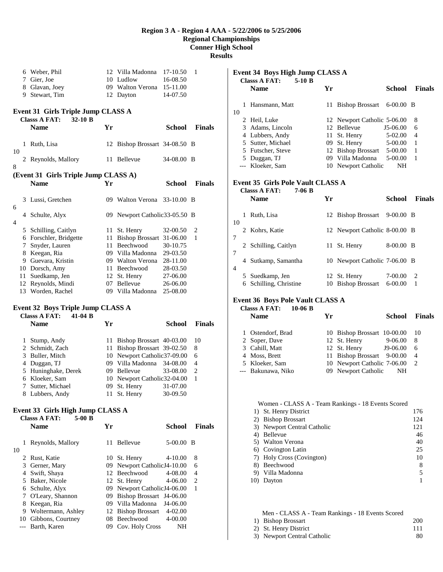# **Region 3 A - Region 4 AAA - 5/22/2006 to 5/25/2006 Regional Championships Conner High School**

**Results** 

|    |         | 6 Weber, Phil                             |    | 12 Villa Madonna                   | 17-10.50           | 1             |
|----|---------|-------------------------------------------|----|------------------------------------|--------------------|---------------|
|    |         | 7 Gier, Joe                               |    | 10 Ludlow                          |                    |               |
|    |         |                                           |    |                                    | 16-08.50           |               |
|    |         | 8 Glavan, Joey                            |    | 09 Walton Verona                   | 15-11.00           |               |
|    |         | 9 Stewart, Tim                            |    | 12 Dayton                          | 14-07.50           |               |
|    |         |                                           |    |                                    |                    |               |
|    |         | <b>Event 31 Girls Triple Jump CLASS A</b> |    |                                    |                    |               |
|    |         | <b>Classs A FAT:</b><br>$32-10$ B         |    |                                    |                    |               |
|    |         |                                           |    |                                    |                    |               |
|    |         | <b>Name</b>                               | Yr |                                    | <b>School</b>      | <b>Finals</b> |
|    |         |                                           |    |                                    |                    |               |
|    | 1       | Ruth, Lisa                                |    | 12 Bishop Brossart 34-08.50 B      |                    |               |
| 10 |         |                                           |    |                                    |                    |               |
|    |         |                                           |    |                                    |                    |               |
|    |         | 2 Reynolds, Mallory                       |    | 11 Bellevue                        | 34-08.00 B         |               |
| 8  |         |                                           |    |                                    |                    |               |
|    |         | (Event 31 Girls Triple Jump CLASS A)      |    |                                    |                    |               |
|    |         | Name                                      | Yr |                                    | School             | <b>Finals</b> |
|    |         |                                           |    |                                    |                    |               |
|    |         |                                           |    |                                    |                    |               |
|    |         | 3 Lussi, Gretchen                         |    | 09 Walton Verona                   | $33-10.00$ B       |               |
| 6  |         |                                           |    |                                    |                    |               |
|    | 4       | Schulte, Alyx                             |    | 09 Newport Catholic 33-05.50 B     |                    |               |
| 4  |         |                                           |    |                                    |                    |               |
|    |         | 5 Schilling, Caitlyn                      |    | 11 St. Henry                       | 32-00.50           | 2             |
|    |         | 6 Forschler, Bridgette                    |    | 11 Bishop Brossart 31-06.00        |                    | 1             |
|    |         |                                           |    |                                    |                    |               |
|    |         | 7 Snyder, Lauren                          |    | 11 Beechwood                       | 30-10.75           |               |
|    |         | 8 Keegan, Ria                             |    | 09 Villa Madonna                   | 29-03.50           |               |
|    |         | 9 Guevara, Kristin                        |    | 09 Walton Verona                   | 28-11.00           |               |
|    |         | 10 Dorsch, Amy                            |    | 11 Beechwood                       | 28-03.50           |               |
|    | 11      | Suedkamp, Jen                             |    | 12 St. Henry                       | 27-06.00           |               |
|    |         |                                           |    | 07 Bellevue                        |                    |               |
|    |         | 12 Reynolds, Mindi                        |    |                                    | 26-06.00           |               |
|    |         | 13 Worden, Rachel                         |    | 09 Villa Madonna                   | 25-08.00           |               |
|    |         |                                           |    |                                    |                    |               |
|    |         | Event 32 Boys Triple Jump CLASS A         |    |                                    |                    |               |
|    |         | <b>Classs A FAT:</b><br>$41-04$ B         |    |                                    |                    |               |
|    |         |                                           | Yr |                                    |                    | <b>Finals</b> |
|    |         | Name                                      |    |                                    | School             |               |
|    |         |                                           |    |                                    |                    |               |
|    |         | 1 Stump, Andy                             |    | 11 Bishop Brossart 40-03.00        |                    | 10            |
|    |         |                                           |    |                                    |                    |               |
|    |         | 2 Schmidt, Zach                           |    | 11 Bishop Brossart 39-02.50        |                    | 8             |
|    |         |                                           |    |                                    |                    | 6             |
|    |         | 3 Buller, Mitch                           |    | 10 Newport Catholic37-09.00        |                    |               |
|    |         | 4 Duggan, TJ                              |    | 09 Villa Madonna                   | 34-08.00           | 4             |
|    |         | 5 Huninghake, Derek                       |    | 09 Bellevue                        | 33-08.00           | 2             |
|    |         | 6 Kloeker, Sam                            |    | 10 Newport Catholic32-04.00        |                    | 1             |
|    |         | 7 Sutter, Michael                         |    | 09 St. Henry 31-07.00              |                    |               |
|    |         | 8 Lubbers, Andy                           |    | 11 St. Henry                       | 30-09.50           |               |
|    |         |                                           |    |                                    |                    |               |
|    |         |                                           |    |                                    |                    |               |
|    |         | Event 33 Girls High Jump CLASS A          |    |                                    |                    |               |
|    |         | <b>Classs A FAT:</b><br>$5-00$ B          |    |                                    |                    |               |
|    |         | <b>Name</b>                               | Yr |                                    | <b>School</b>      | <b>Finals</b> |
|    |         |                                           |    |                                    |                    |               |
|    | 1       | Reynolds, Mallory                         | 11 | <b>Bellevue</b>                    | 5-00.00 B          |               |
| 10 |         |                                           |    |                                    |                    |               |
|    |         |                                           |    |                                    |                    |               |
|    |         | 2 Rust, Katie                             |    | 10 St. Henry                       | 4-10.00            | 8             |
|    | 3       | Gerner, Mary                              |    | 09 Newport CatholicJ4-10.00        |                    | 6             |
|    |         | 4 Swift, Shaya                            |    | 12 Beechwood                       | 4-08.00            | 4             |
|    |         | 5 Baker, Nicole                           |    | 12 St. Henry                       | 4-06.00            | 2             |
|    | 6       | Schulte, Alyx                             |    | 09 Newport CatholicJ4-06.00        |                    | 1             |
|    | 7       |                                           |    | 09 Bishop Brossart                 | J4-06.00           |               |
|    |         | O'Leary, Shannon                          |    |                                    |                    |               |
|    | 8       | Keegan, Ria                               |    | 09 Villa Madonna                   | J4-06.00           |               |
|    | 9<br>10 | Woltermann, Ashley<br>Gibbons, Courtney   |    | 12 Bishop Brossart<br>08 Beechwood | 4-02.00<br>4-00.00 |               |

--- Barth, Karen 09 Cov. Holy Cross NH

# **Event 34 Boys High Jump CLASS A Classs A FAT: 5-10 B Name Yr School Finals**  1 Hansmann, Matt 11 Bishop Brossart 6-00.00 B 10 2 Heil, Luke 12 Newport Catholic 5-06.00 8 3 Adams, Lincoln 12 Bellevue J5-06.00 6 4 Lubbers, Andy 11 St. Henry 5-02.00 4 5 Sutter, Michael 09 St. Henry 5-00.00 1 5 Futscher, Steve 12 Bishop Brossart 5-00.00 1 5 Duggan, TJ 09 Villa Madonna 5-00.00 1 --- Kloeker, Sam 10 Newport Catholic NH **Event 35 Girls Pole Vault CLASS A Classs A FAT: 7-06 B Name Yr School Finals**  1 Ruth, Lisa 12 Bishop Brossart 9-00.00 B 10 2 Kohrs, Katie 12 Newport Catholic 8-00.00 B 7 2 Schilling, Caitlyn 11 St. Henry 8-00.00 B 7 4 Sutkamp, Samantha 10 Newport Catholic 7-06.00 B 4 5 Suedkamp, Jen 12 St. Henry 7-00.00 2 6 Schilling, Christine 10 Bishop Brossart 6-00.00 1

#### **Event 36 Boys Pole Vault CLASS A**

| $10-06$ B<br><b>Classs A FAT:</b><br><b>Name</b> | Yг | School                      | <b>Finals</b>  |
|--------------------------------------------------|----|-----------------------------|----------------|
| 1 Ostendorf, Brad                                |    | 10 Bishop Brossart 10-00.00 | 10             |
| 2 Soper, Dave                                    |    | 9-06.00<br>12 St. Henry     | 8              |
| 3 Cahill, Matt                                   |    | 12 St. Henry<br>J9-06.00    | 6              |
| 4 Moss, Brett                                    |    | 11 Bishop Brossart 9-00.00  | $\overline{4}$ |
| 5 Kloeker, Sam                                   |    | 10 Newport Catholic 7-06.00 | 2              |
| --- Bakunawa, Niko                               |    | 09 Newport Catholic<br>NH   |                |

|    | Women - CLASS A - Team Rankings - 18 Events Scored |     |
|----|----------------------------------------------------|-----|
|    | 1) St. Henry District                              | 176 |
| 2) | <b>Bishop Brossart</b>                             | 124 |
|    | 3) Newport Central Catholic                        | 121 |
|    | Bellevue                                           | 46  |
|    | 5) Walton Verona                                   | 40  |
|    | 6) Covington Latin                                 | 25  |
|    | Holy Cross (Covington)                             | 10  |
|    | Beechwood                                          | 8   |
|    | Villa Madonna                                      |     |
|    | Davton                                             |     |

| Men - CLASS A - Team Rankings - 18 Events Scored |     |
|--------------------------------------------------|-----|
| 1) Bishop Brossart                               | 200 |
| 2) St. Henry District                            | 111 |
| 3) Newport Central Catholic                      | -80 |